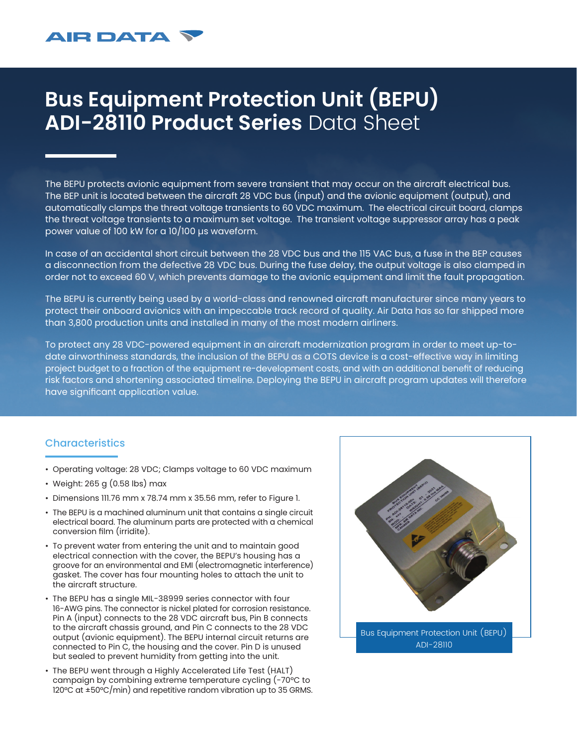## **Bus Equipment Protection Unit (BEPU) ADI-28110 Product Series** Data Sheet

The BEPU protects avionic equipment from severe transient that may occur on the aircraft electrical bus. The BEP unit is located between the aircraft 28 VDC bus (input) and the avionic equipment (output), and automatically clamps the threat voltage transients to 60 VDC maximum. The electrical circuit board, clamps the threat voltage transients to a maximum set voltage. The transient voltage suppressor array has a peak power value of 100 kW for a 10/100 µs waveform.

In case of an accidental short circuit between the 28 VDC bus and the 115 VAC bus, a fuse in the BEP causes a disconnection from the defective 28 VDC bus. During the fuse delay, the output voltage is also clamped in order not to exceed 60 V, which prevents damage to the avionic equipment and limit the fault propagation.

The BEPU is currently being used by a world-class and renowned aircraft manufacturer since many years to protect their onboard avionics with an impeccable track record of quality. Air Data has so far shipped more than 3,800 production units and installed in many of the most modern airliners.

To protect any 28 VDC-powered equipment in an aircraft modernization program in order to meet up-todate airworthiness standards, the inclusion of the BEPU as a COTS device is a cost-effective way in limiting project budget to a fraction of the equipment re-development costs, and with an additional benefit of reducing risk factors and shortening associated timeline. Deploying the BEPU in aircraft program updates will therefore have significant application value.

## **Characteristics**

- Operating voltage: 28 VDC; Clamps voltage to 60 VDC maximum
- Weight: 265 g (0.58 lbs) max

**AIR DATA** 

- Dimensions 111.76 mm x 78.74 mm x 35.56 mm, refer to Figure 1.
- The BEPU is a machined aluminum unit that contains a single circuit electrical board. The aluminum parts are protected with a chemical conversion film (irridite).
- To prevent water from entering the unit and to maintain good electrical connection with the cover, the BEPU's housing has a groove for an environmental and EMI (electromagnetic interference) gasket. The cover has four mounting holes to attach the unit to the aircraft structure.
- The BEPU has a single MIL-38999 series connector with four 16-AWG pins. The connector is nickel plated for corrosion resistance. Pin A (input) connects to the 28 VDC aircraft bus, Pin B connects to the aircraft chassis ground, and Pin C connects to the 28 VDC output (avionic equipment). The BEPU internal circuit returns are connected to Pin C, the housing and the cover. Pin D is unused but sealed to prevent humidity from getting into the unit.
- The BEPU went through a Highly Accelerated Life Test (HALT) campaign by combining extreme temperature cycling (-70°C to 120°C at ±50°C/min) and repetitive random vibration up to 35 GRMS.